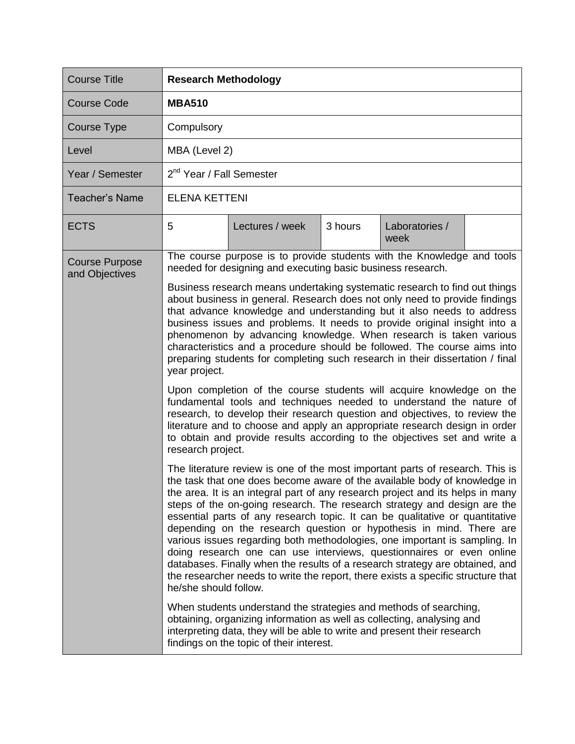| <b>Course Title</b>                     | <b>Research Methodology</b>                                                                                                                                                                                                                                                                                                                                                                                                                                                                                                                                                                                                                                                                                                                                                                                                        |                      |         |                        |  |  |  |
|-----------------------------------------|------------------------------------------------------------------------------------------------------------------------------------------------------------------------------------------------------------------------------------------------------------------------------------------------------------------------------------------------------------------------------------------------------------------------------------------------------------------------------------------------------------------------------------------------------------------------------------------------------------------------------------------------------------------------------------------------------------------------------------------------------------------------------------------------------------------------------------|----------------------|---------|------------------------|--|--|--|
| <b>Course Code</b>                      | <b>MBA510</b>                                                                                                                                                                                                                                                                                                                                                                                                                                                                                                                                                                                                                                                                                                                                                                                                                      |                      |         |                        |  |  |  |
| Course Type                             | Compulsory                                                                                                                                                                                                                                                                                                                                                                                                                                                                                                                                                                                                                                                                                                                                                                                                                         |                      |         |                        |  |  |  |
| Level                                   | MBA (Level 2)                                                                                                                                                                                                                                                                                                                                                                                                                                                                                                                                                                                                                                                                                                                                                                                                                      |                      |         |                        |  |  |  |
| Year / Semester                         | 2 <sup>nd</sup> Year / Fall Semester                                                                                                                                                                                                                                                                                                                                                                                                                                                                                                                                                                                                                                                                                                                                                                                               |                      |         |                        |  |  |  |
| <b>Teacher's Name</b>                   |                                                                                                                                                                                                                                                                                                                                                                                                                                                                                                                                                                                                                                                                                                                                                                                                                                    | <b>ELENA KETTENI</b> |         |                        |  |  |  |
| <b>ECTS</b>                             | 5                                                                                                                                                                                                                                                                                                                                                                                                                                                                                                                                                                                                                                                                                                                                                                                                                                  | Lectures / week      | 3 hours | Laboratories /<br>week |  |  |  |
| <b>Course Purpose</b><br>and Objectives | The course purpose is to provide students with the Knowledge and tools<br>needed for designing and executing basic business research.                                                                                                                                                                                                                                                                                                                                                                                                                                                                                                                                                                                                                                                                                              |                      |         |                        |  |  |  |
|                                         | Business research means undertaking systematic research to find out things<br>about business in general. Research does not only need to provide findings<br>that advance knowledge and understanding but it also needs to address<br>business issues and problems. It needs to provide original insight into a<br>phenomenon by advancing knowledge. When research is taken various<br>characteristics and a procedure should be followed. The course aims into<br>preparing students for completing such research in their dissertation / final<br>year project.                                                                                                                                                                                                                                                                  |                      |         |                        |  |  |  |
|                                         | Upon completion of the course students will acquire knowledge on the<br>fundamental tools and techniques needed to understand the nature of<br>research, to develop their research question and objectives, to review the<br>literature and to choose and apply an appropriate research design in order<br>to obtain and provide results according to the objectives set and write a<br>research project.                                                                                                                                                                                                                                                                                                                                                                                                                          |                      |         |                        |  |  |  |
|                                         | The literature review is one of the most important parts of research. This is<br>the task that one does become aware of the available body of knowledge in<br>the area. It is an integral part of any research project and its helps in many<br>steps of the on-going research. The research strategy and design are the<br>essential parts of any research topic. It can be qualitative or quantitative<br>depending on the research question or hypothesis in mind. There are<br>various issues regarding both methodologies, one important is sampling. In<br>doing research one can use interviews, questionnaires or even online<br>databases. Finally when the results of a research strategy are obtained, and<br>the researcher needs to write the report, there exists a specific structure that<br>he/she should follow. |                      |         |                        |  |  |  |
|                                         | When students understand the strategies and methods of searching,<br>obtaining, organizing information as well as collecting, analysing and<br>interpreting data, they will be able to write and present their research<br>findings on the topic of their interest.                                                                                                                                                                                                                                                                                                                                                                                                                                                                                                                                                                |                      |         |                        |  |  |  |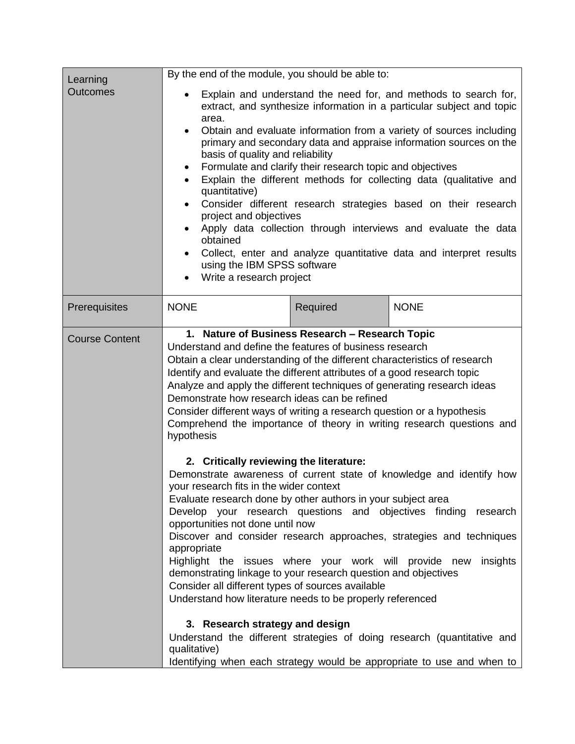| Learning              | By the end of the module, you should be able to:                                                                                                                                                                                                                                                                                                                                                                                                                                                                                                                                                                                                                                                                                                                                                                                                                                          |          |             |  |  |
|-----------------------|-------------------------------------------------------------------------------------------------------------------------------------------------------------------------------------------------------------------------------------------------------------------------------------------------------------------------------------------------------------------------------------------------------------------------------------------------------------------------------------------------------------------------------------------------------------------------------------------------------------------------------------------------------------------------------------------------------------------------------------------------------------------------------------------------------------------------------------------------------------------------------------------|----------|-------------|--|--|
| <b>Outcomes</b>       | Explain and understand the need for, and methods to search for,<br>extract, and synthesize information in a particular subject and topic<br>area.<br>Obtain and evaluate information from a variety of sources including<br>$\bullet$<br>primary and secondary data and appraise information sources on the<br>basis of quality and reliability<br>Formulate and clarify their research topic and objectives<br>$\bullet$<br>Explain the different methods for collecting data (qualitative and<br>$\bullet$<br>quantitative)<br>Consider different research strategies based on their research<br>$\bullet$<br>project and objectives<br>Apply data collection through interviews and evaluate the data<br>obtained<br>Collect, enter and analyze quantitative data and interpret results<br>using the IBM SPSS software<br>Write a research project                                     |          |             |  |  |
| Prerequisites         | <b>NONE</b>                                                                                                                                                                                                                                                                                                                                                                                                                                                                                                                                                                                                                                                                                                                                                                                                                                                                               | Required | <b>NONE</b> |  |  |
| <b>Course Content</b> | 1. Nature of Business Research - Research Topic<br>Understand and define the features of business research<br>Obtain a clear understanding of the different characteristics of research<br>Identify and evaluate the different attributes of a good research topic<br>Analyze and apply the different techniques of generating research ideas<br>Demonstrate how research ideas can be refined<br>Consider different ways of writing a research question or a hypothesis<br>Comprehend the importance of theory in writing research questions and<br>hypothesis                                                                                                                                                                                                                                                                                                                           |          |             |  |  |
|                       | 2. Critically reviewing the literature:<br>Demonstrate awareness of current state of knowledge and identify how<br>your research fits in the wider context<br>Evaluate research done by other authors in your subject area<br>Develop your research questions and objectives finding research<br>opportunities not done until now<br>Discover and consider research approaches, strategies and techniques<br>appropriate<br>Highlight the issues where your work will provide new<br>insights<br>demonstrating linkage to your research question and objectives<br>Consider all different types of sources available<br>Understand how literature needs to be properly referenced<br>3. Research strategy and design<br>Understand the different strategies of doing research (quantitative and<br>qualitative)<br>Identifying when each strategy would be appropriate to use and when to |          |             |  |  |
|                       |                                                                                                                                                                                                                                                                                                                                                                                                                                                                                                                                                                                                                                                                                                                                                                                                                                                                                           |          |             |  |  |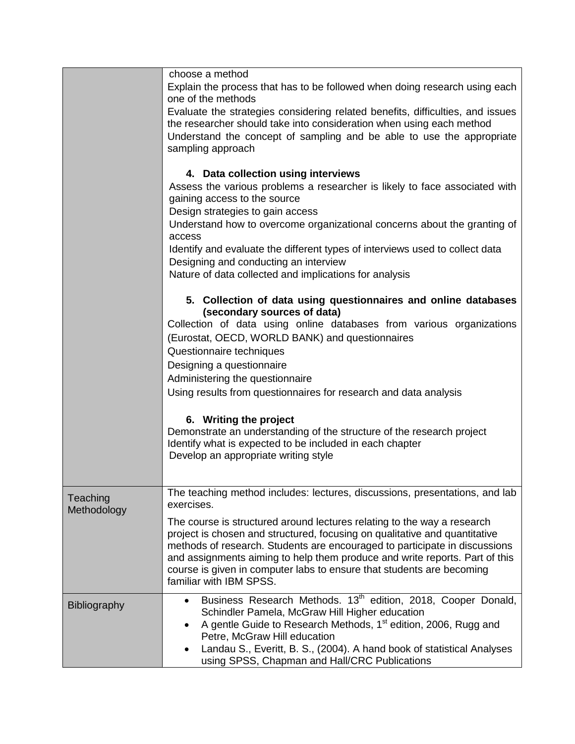|                         | choose a method<br>Explain the process that has to be followed when doing research using each<br>one of the methods<br>Evaluate the strategies considering related benefits, difficulties, and issues<br>the researcher should take into consideration when using each method<br>Understand the concept of sampling and be able to use the appropriate<br>sampling approach<br>4. Data collection using interviews<br>Assess the various problems a researcher is likely to face associated with<br>gaining access to the source<br>Design strategies to gain access<br>Understand how to overcome organizational concerns about the granting of<br>access<br>Identify and evaluate the different types of interviews used to collect data<br>Designing and conducting an interview<br>Nature of data collected and implications for analysis<br>5. Collection of data using questionnaires and online databases<br>(secondary sources of data)<br>Collection of data using online databases from various organizations<br>(Eurostat, OECD, WORLD BANK) and questionnaires<br>Questionnaire techniques<br>Designing a questionnaire<br>Administering the questionnaire<br>Using results from questionnaires for research and data analysis<br>6. Writing the project<br>Demonstrate an understanding of the structure of the research project<br>Identify what is expected to be included in each chapter<br>Develop an appropriate writing style |  |  |  |
|-------------------------|---------------------------------------------------------------------------------------------------------------------------------------------------------------------------------------------------------------------------------------------------------------------------------------------------------------------------------------------------------------------------------------------------------------------------------------------------------------------------------------------------------------------------------------------------------------------------------------------------------------------------------------------------------------------------------------------------------------------------------------------------------------------------------------------------------------------------------------------------------------------------------------------------------------------------------------------------------------------------------------------------------------------------------------------------------------------------------------------------------------------------------------------------------------------------------------------------------------------------------------------------------------------------------------------------------------------------------------------------------------------------------------------------------------------------------------------------|--|--|--|
| Teaching<br>Methodology | The teaching method includes: lectures, discussions, presentations, and lab<br>exercises.                                                                                                                                                                                                                                                                                                                                                                                                                                                                                                                                                                                                                                                                                                                                                                                                                                                                                                                                                                                                                                                                                                                                                                                                                                                                                                                                                         |  |  |  |
|                         | The course is structured around lectures relating to the way a research<br>project is chosen and structured, focusing on qualitative and quantitative<br>methods of research. Students are encouraged to participate in discussions<br>and assignments aiming to help them produce and write reports. Part of this<br>course is given in computer labs to ensure that students are becoming<br>familiar with IBM SPSS.                                                                                                                                                                                                                                                                                                                                                                                                                                                                                                                                                                                                                                                                                                                                                                                                                                                                                                                                                                                                                            |  |  |  |
| <b>Bibliography</b>     | Business Research Methods. 13 <sup>th</sup> edition, 2018, Cooper Donald,<br>Schindler Pamela, McGraw Hill Higher education<br>A gentle Guide to Research Methods, 1 <sup>st</sup> edition, 2006, Rugg and<br>Petre, McGraw Hill education<br>Landau S., Everitt, B. S., (2004). A hand book of statistical Analyses<br>$\bullet$<br>using SPSS, Chapman and Hall/CRC Publications                                                                                                                                                                                                                                                                                                                                                                                                                                                                                                                                                                                                                                                                                                                                                                                                                                                                                                                                                                                                                                                                |  |  |  |